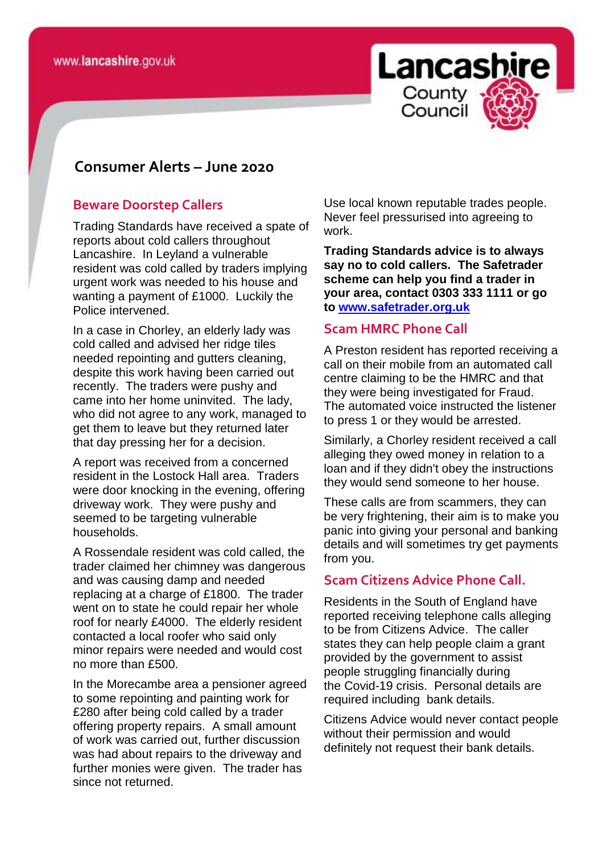

## **consomer Consumer Alerts – June 2020**

#### **Beware Doorstep Callers**

Trading Standards have received a spate of reports about cold callers throughout Lancashire. In Leyland a vulnerable resident was cold called by traders implying urgent work was needed to his house and wanting a payment of £1000. Luckily the Police intervened.

In a case in Chorley, an elderly lady was cold called and advised her ridge tiles needed repointing and gutters cleaning, despite this work having been carried out recently. The traders were pushy and came into her home uninvited. The lady, who did not agree to any work, managed to get them to leave but they returned later that day pressing her for a decision.

A report was received from a concerned resident in the Lostock Hall area. Traders were door knocking in the evening, offering driveway work. They were pushy and seemed to be targeting vulnerable households.

A Rossendale resident was cold called, the trader claimed her chimney was dangerous and was causing damp and needed replacing at a charge of £1800. The trader went on to state he could repair her whole roof for nearly £4000. The elderly resident contacted a local roofer who said only minor repairs were needed and would cost no more than £500.

In the Morecambe area a pensioner agreed to some repointing and painting work for £280 after being cold called by a trader offering property repairs. A small amount of work was carried out, further discussion was had about repairs to the driveway and further monies were given. The trader has since not returned.

Use local known reputable trades people. Never feel pressurised into agreeing to work.

**Trading Standards advice is to always say no to cold callers. The Safetrader scheme can help you find a trader in your area, contact 0303 333 1111 or go to [www.safetrader.org.uk](http://www.safetrader.org.uk/)**

#### **Scam HMRC Phone Call**

A Preston resident has reported receiving a call on their mobile from an automated call centre claiming to be the HMRC and that they were being investigated for Fraud. The automated voice instructed the listener to press 1 or they would be arrested.

Similarly, a Chorley resident received a call alleging they owed money in relation to a loan and if they didn't obey the instructions they would send someone to her house.

These calls are from scammers, they can be very frightening, their aim is to make you panic into giving your personal and banking details and will sometimes try get payments from you.

#### **Scam Citizens Advice Phone Call.**

Residents in the South of England have reported receiving telephone calls alleging to be from Citizens Advice. The caller states they can help people claim a grant provided by the government to assist people struggling financially during the Covid-19 crisis. Personal details are required including bank details.

Citizens Advice would never contact people without their permission and would definitely not request their bank details.